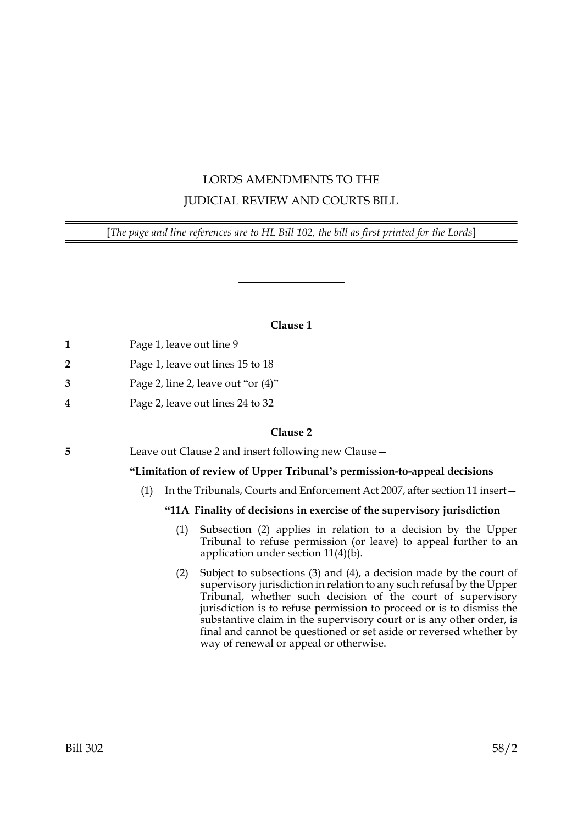# LORDS AMENDMENTS TO THE JUDICIAL REVIEW AND COURTS BILL

[*The page and line references are to HL Bill 102, the bill as first printed for the Lords*]

# **Clause 1**

|  | Page 1, leave out line 9 |
|--|--------------------------|
|--|--------------------------|

- **2** Page 1, leave out lines 15 to 18
- **3** Page 2, line 2, leave out "or (4)"
- **4** Page 2, leave out lines 24 to 32

## **Clause 2**

**5** Leave out Clause 2 and insert following new Clause—

# **"Limitation of review of Upper Tribunal's permission-to-appeal decisions**

(1) In the Tribunals, Courts and Enforcement Act 2007, after section 11 insert—

# **"11A Finality of decisions in exercise of the supervisory jurisdiction**

- (1) Subsection (2) applies in relation to a decision by the Upper Tribunal to refuse permission (or leave) to appeal further to an application under section 11(4)(b).
- (2) Subject to subsections (3) and (4), a decision made by the court of supervisory jurisdiction in relation to any such refusal by the Upper Tribunal, whether such decision of the court of supervisory jurisdiction is to refuse permission to proceed or is to dismiss the substantive claim in the supervisory court or is any other order, is final and cannot be questioned or set aside or reversed whether by way of renewal or appeal or otherwise.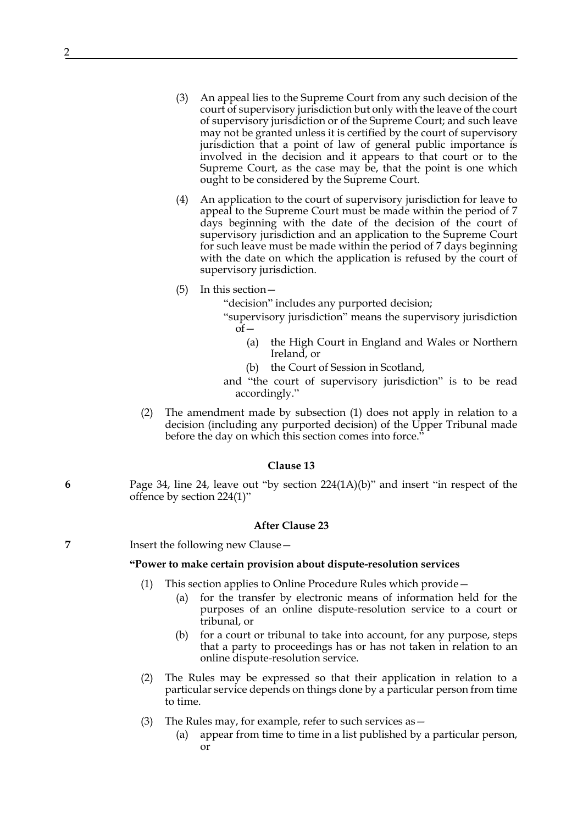- (3) An appeal lies to the Supreme Court from any such decision of the court of supervisory jurisdiction but only with the leave of the court of supervisory jurisdiction or of the Supreme Court; and such leave may not be granted unless it is certified by the court of supervisory jurisdiction that a point of law of general public importance is involved in the decision and it appears to that court or to the Supreme Court, as the case may be, that the point is one which ought to be considered by the Supreme Court.
- (4) An application to the court of supervisory jurisdiction for leave to appeal to the Supreme Court must be made within the period of 7 days beginning with the date of the decision of the court of supervisory jurisdiction and an application to the Supreme Court for such leave must be made within the period of 7 days beginning with the date on which the application is refused by the court of supervisory jurisdiction.
- (5) In this section—

"decision" includes any purported decision;

- "supervisory jurisdiction" means the supervisory jurisdiction  $of-$ 
	- (a) the High Court in England and Wales or Northern Ireland, or
	- (b) the Court of Session in Scotland,
- and "the court of supervisory jurisdiction" is to be read accordingly."
- (2) The amendment made by subsection (1) does not apply in relation to a decision (including any purported decision) of the Upper Tribunal made before the day on which this section comes into force."

#### **Clause 13**

**6** Page 34, line 24, leave out "by section 224(1A)(b)" and insert "in respect of the offence by section 224(1)"

## **After Clause 23**

**7** Insert the following new Clause—

#### **"Power to make certain provision about dispute-resolution services**

- This section applies to Online Procedure Rules which provide—
	- (a) for the transfer by electronic means of information held for the purposes of an online dispute-resolution service to a court or tribunal, or
	- (b) for a court or tribunal to take into account, for any purpose, steps that a party to proceedings has or has not taken in relation to an online dispute-resolution service.
- (2) The Rules may be expressed so that their application in relation to a particular service depends on things done by a particular person from time to time.
- (3) The Rules may, for example, refer to such services as—
	- (a) appear from time to time in a list published by a particular person, or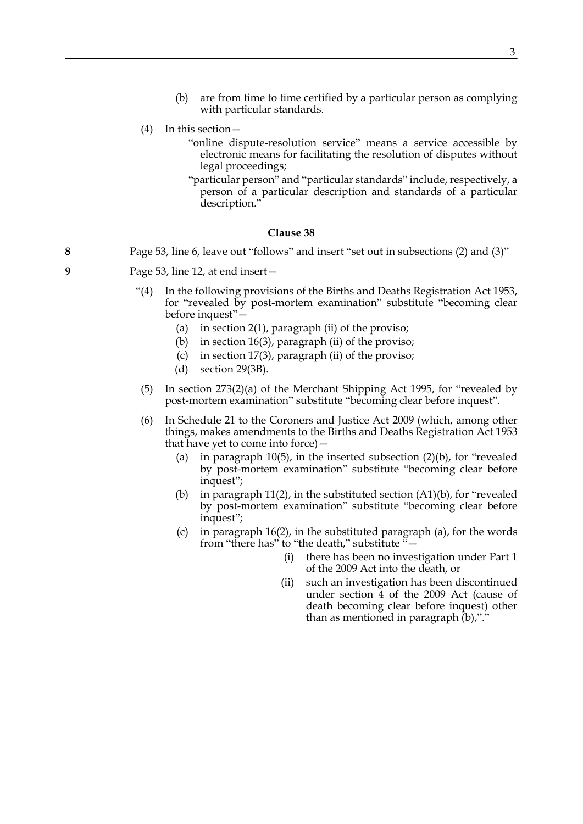- (b) are from time to time certified by a particular person as complying with particular standards.
- (4) In this section—
	- "online dispute-resolution service" means a service accessible by electronic means for facilitating the resolution of disputes without legal proceedings;
	- "particular person" and "particular standards" include, respectively, a person of a particular description and standards of a particular description.'

#### **Clause 38**

- **8** Page 53, line 6, leave out "follows" and insert "set out in subsections (2) and (3)"
- **9** Page 53, line 12, at end insert—
	- "(4) In the following provisions of the Births and Deaths Registration Act 1953, for "revealed by post-mortem examination" substitute "becoming clear before inquest"—
		- (a) in section  $2(1)$ , paragraph (ii) of the proviso;
		- (b) in section 16(3), paragraph (ii) of the proviso;
		- (c) in section 17(3), paragraph (ii) of the proviso;
		- (d) section 29(3B).
	- (5) In section 273(2)(a) of the Merchant Shipping Act 1995, for "revealed by post-mortem examination" substitute "becoming clear before inquest".
	- (6) In Schedule 21 to the Coroners and Justice Act 2009 (which, among other things, makes amendments to the Births and Deaths Registration Act 1953 that have yet to come into force)—
		- (a) in paragraph 10(5), in the inserted subsection  $(2)(b)$ , for "revealed by post-mortem examination" substitute "becoming clear before inquest";
		- (b) in paragraph 11(2), in the substituted section (A1)(b), for "revealed by post-mortem examination" substitute "becoming clear before inquest";
		- (c) in paragraph 16(2), in the substituted paragraph (a), for the words from "there has" to "the death," substitute "—
			- (i) there has been no investigation under Part 1 of the 2009 Act into the death, or
			- (ii) such an investigation has been discontinued under section 4 of the 2009 Act (cause of death becoming clear before inquest) other than as mentioned in paragraph (b),"."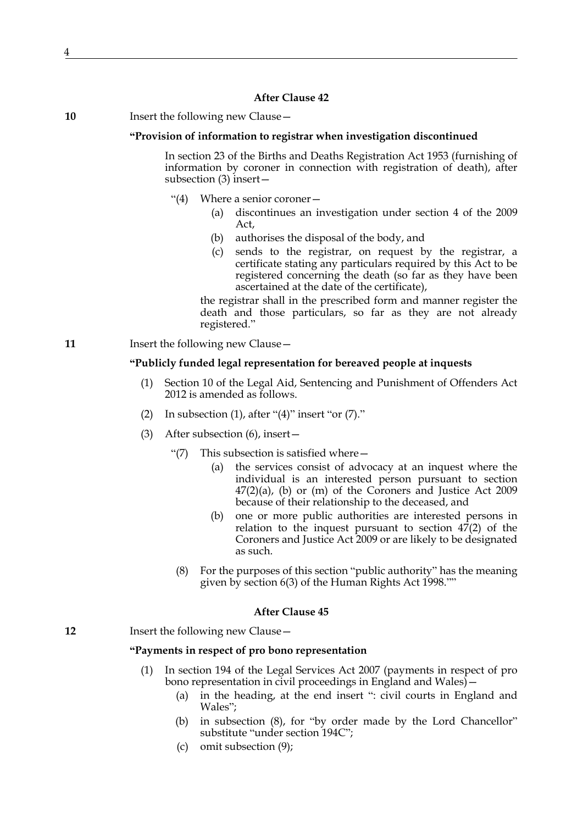**10** Insert the following new Clause—

#### **"Provision of information to registrar when investigation discontinued**

In section 23 of the Births and Deaths Registration Act 1953 (furnishing of information by coroner in connection with registration of death), after subsection (3) insert—

- "(4) Where a senior coroner—
	- (a) discontinues an investigation under section 4 of the 2009 Act,
	- (b) authorises the disposal of the body, and
	- (c) sends to the registrar, on request by the registrar, a certificate stating any particulars required by this Act to be registered concerning the death (so far as they have been ascertained at the date of the certificate),

the registrar shall in the prescribed form and manner register the death and those particulars, so far as they are not already registered."

**11** Insert the following new Clause -

#### **"Publicly funded legal representation for bereaved people at inquests**

- (1) Section 10 of the Legal Aid, Sentencing and Punishment of Offenders Act 2012 is amended as follows.
- (2) In subsection (1), after " $(4)$ " insert "or  $(7)$ ."
- (3) After subsection (6), insert—
	- "(7) This subsection is satisfied where  $-$ 
		- (a) the services consist of advocacy at an inquest where the individual is an interested person pursuant to section  $47(2)(a)$ , (b) or (m) of the Coroners and Justice Act 2009 because of their relationship to the deceased, and
		- (b) one or more public authorities are interested persons in relation to the inquest pursuant to section 47(2) of the Coroners and Justice Act 2009 or are likely to be designated as such.
	- (8) For the purposes of this section "public authority" has the meaning given by section 6(3) of the Human Rights Act 1998.""

#### **After Clause 45**

**12** Insert the following new Clause –

### **"Payments in respect of pro bono representation**

- (1) In section 194 of the Legal Services Act 2007 (payments in respect of pro bono representation in civil proceedings in England and Wales) –
	- (a) in the heading, at the end insert ": civil courts in England and Wales";
	- (b) in subsection (8), for "by order made by the Lord Chancellor" substitute "under section 194C";
	- (c) omit subsection (9);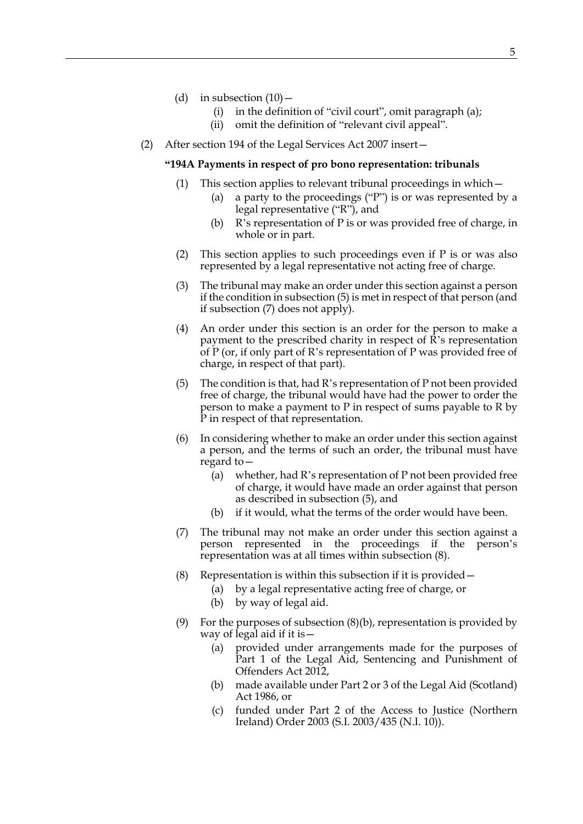- (d) in subsection  $(10)$ 
	- (i) in the definition of "civil court", omit paragraph (a);
	- (ii) omit the definition of "relevant civil appeal".
- (2) After section 194 of the Legal Services Act 2007 insert—

#### **"194A Payments in respect of pro bono representation: tribunals**

- (1) This section applies to relevant tribunal proceedings in which—
	- (a) a party to the proceedings ("P") is or was represented by a legal representative ("R"), and
	- (b) R's representation of P is or was provided free of charge, in whole or in part.
- (2) This section applies to such proceedings even if P is or was also represented by a legal representative not acting free of charge.
- (3) The tribunal may make an order under this section against a person if the condition in subsection (5) is met in respect of that person (and if subsection (7) does not apply).
- (4) An order under this section is an order for the person to make a payment to the prescribed charity in respect of R's representation of P (or, if only part of R's representation of P was provided free of charge, in respect of that part).
- (5) The condition is that, had R's representation of P not been provided free of charge, the tribunal would have had the power to order the person to make a payment to P in respect of sums payable to R by P in respect of that representation.
- (6) In considering whether to make an order under this section against a person, and the terms of such an order, the tribunal must have regard to—
	- (a) whether, had R's representation of P not been provided free of charge, it would have made an order against that person as described in subsection (5), and
	- (b) if it would, what the terms of the order would have been.
- (7) The tribunal may not make an order under this section against a person represented in the proceedings if the person's representation was at all times within subsection (8).
- (8) Representation is within this subsection if it is provided—
	- (a) by a legal representative acting free of charge, or
	- (b) by way of legal aid.
- (9) For the purposes of subsection  $(8)(b)$ , representation is provided by way of legal aid if it is—
	- (a) provided under arrangements made for the purposes of Part 1 of the Legal Aid, Sentencing and Punishment of Offenders Act 2012,
	- (b) made available under Part 2 or 3 of the Legal Aid (Scotland) Act 1986, or
	- (c) funded under Part 2 of the Access to Justice (Northern Ireland) Order 2003 (S.I. 2003/435 (N.I. 10)).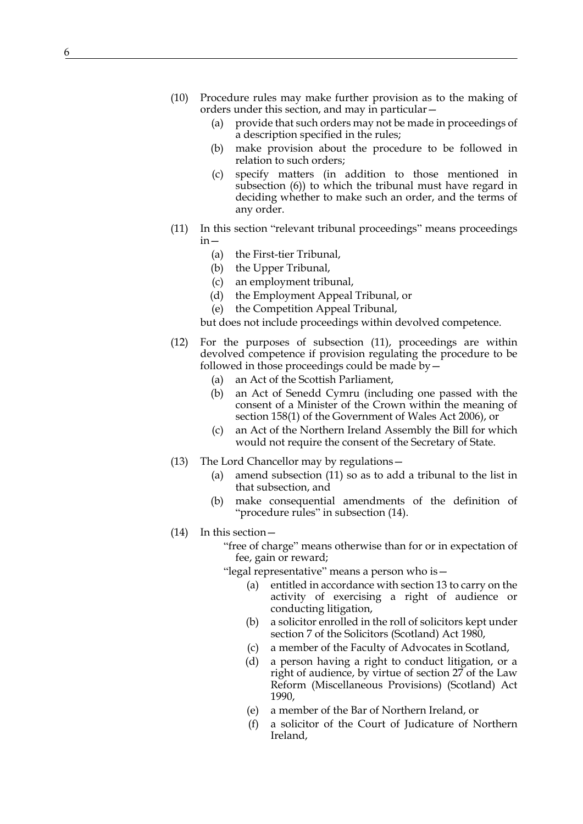- (10) Procedure rules may make further provision as to the making of orders under this section, and may in particular—
	- (a) provide that such orders may not be made in proceedings of a description specified in the rules;
	- (b) make provision about the procedure to be followed in relation to such orders;
	- (c) specify matters (in addition to those mentioned in subsection (6)) to which the tribunal must have regard in deciding whether to make such an order, and the terms of any order.
- (11) In this section "relevant tribunal proceedings" means proceedings in—
	- (a) the First-tier Tribunal,
	- (b) the Upper Tribunal,
	- (c) an employment tribunal,
	- (d) the Employment Appeal Tribunal, or
	- (e) the Competition Appeal Tribunal,
	- but does not include proceedings within devolved competence.
- (12) For the purposes of subsection (11), proceedings are within devolved competence if provision regulating the procedure to be followed in those proceedings could be made by—
	- (a) an Act of the Scottish Parliament,
	- (b) an Act of Senedd Cymru (including one passed with the consent of a Minister of the Crown within the meaning of section 158(1) of the Government of Wales Act 2006), or
	- (c) an Act of the Northern Ireland Assembly the Bill for which would not require the consent of the Secretary of State.
- (13) The Lord Chancellor may by regulations—
	- (a) amend subsection (11) so as to add a tribunal to the list in that subsection, and
	- (b) make consequential amendments of the definition of "procedure rules" in subsection (14).
- (14) In this section—
	- "free of charge" means otherwise than for or in expectation of fee, gain or reward;
	- "legal representative" means a person who is—
		- (a) entitled in accordance with section 13 to carry on the activity of exercising a right of audience or conducting litigation,
		- (b) a solicitor enrolled in the roll of solicitors kept under section 7 of the Solicitors (Scotland) Act 1980,
		- (c) a member of the Faculty of Advocates in Scotland,
		- (d) a person having a right to conduct litigation, or a right of audience, by virtue of section 27 of the Law Reform (Miscellaneous Provisions) (Scotland) Act 1990,
		- (e) a member of the Bar of Northern Ireland, or
		- (f) a solicitor of the Court of Judicature of Northern Ireland,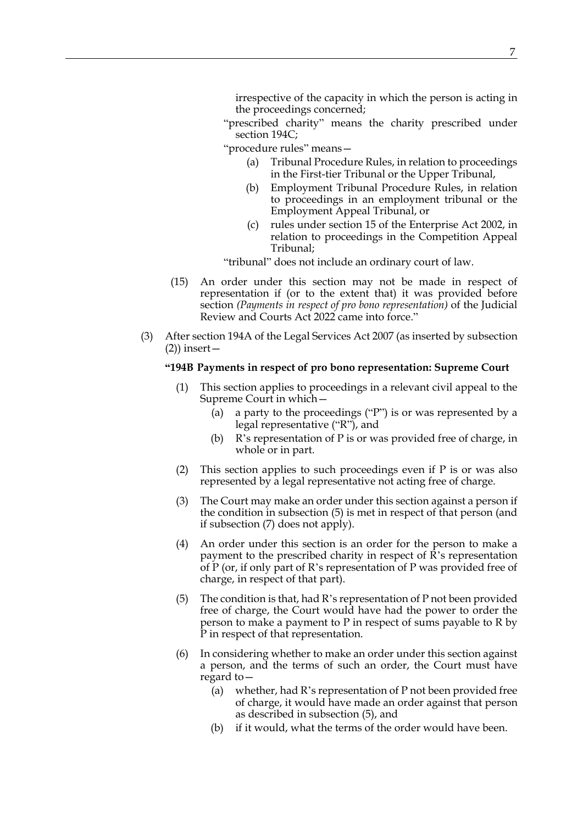irrespective of the capacity in which the person is acting in the proceedings concerned;

"prescribed charity" means the charity prescribed under section 194C;

"procedure rules" means—

- (a) Tribunal Procedure Rules, in relation to proceedings in the First-tier Tribunal or the Upper Tribunal,
- (b) Employment Tribunal Procedure Rules, in relation to proceedings in an employment tribunal or the Employment Appeal Tribunal, or
- (c) rules under section 15 of the Enterprise Act 2002, in relation to proceedings in the Competition Appeal Tribunal;

"tribunal" does not include an ordinary court of law.

- (15) An order under this section may not be made in respect of representation if (or to the extent that) it was provided before section *(Payments in respect of pro bono representation)* of the Judicial Review and Courts Act 2022 came into force."
- (3) After section 194A of the Legal Services Act 2007 (as inserted by subsection  $(2)$ ) insert –

#### **"194B Payments in respect of pro bono representation: Supreme Court**

- (1) This section applies to proceedings in a relevant civil appeal to the Supreme Court in which—
	- (a) a party to the proceedings ("P") is or was represented by a legal representative ("R"), and
	- (b) R's representation of P is or was provided free of charge, in whole or in part.
- (2) This section applies to such proceedings even if P is or was also represented by a legal representative not acting free of charge.
- (3) The Court may make an order under this section against a person if the condition in subsection (5) is met in respect of that person (and if subsection (7) does not apply).
- (4) An order under this section is an order for the person to make a payment to the prescribed charity in respect of R's representation of P (or, if only part of R's representation of P was provided free of charge, in respect of that part).
- (5) The condition is that, had R's representation of P not been provided free of charge, the Court would have had the power to order the person to make a payment to P in respect of sums payable to R by P in respect of that representation.
- (6) In considering whether to make an order under this section against a person, and the terms of such an order, the Court must have regard to—
	- (a) whether, had R's representation of P not been provided free of charge, it would have made an order against that person as described in subsection (5), and
	- (b) if it would, what the terms of the order would have been.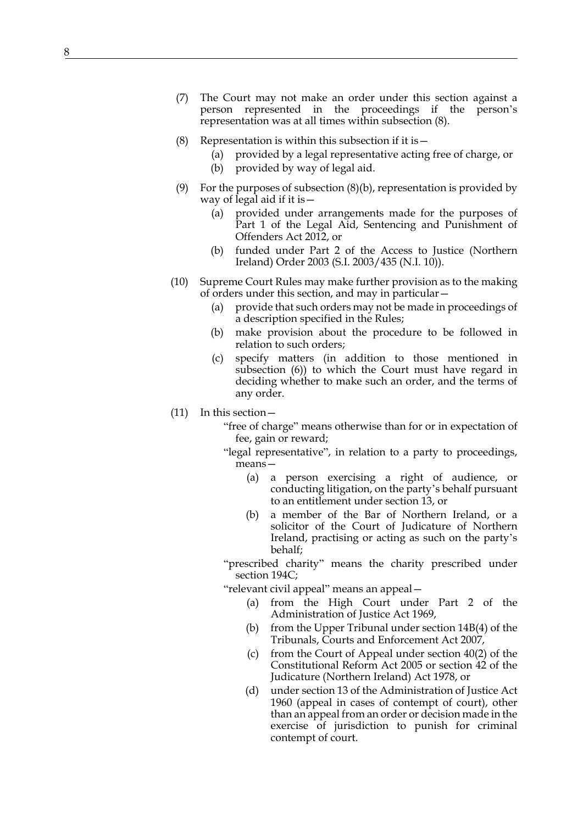- (7) The Court may not make an order under this section against a person represented in the proceedings if the person's representation was at all times within subsection (8).
- (8) Representation is within this subsection if it is  $-$ 
	- (a) provided by a legal representative acting free of charge, or
	- (b) provided by way of legal aid.
- (9) For the purposes of subsection  $(8)(b)$ , representation is provided by way of legal aid if it is—
	- (a) provided under arrangements made for the purposes of Part 1 of the Legal Aid, Sentencing and Punishment of Offenders Act 2012, or
	- (b) funded under Part 2 of the Access to Justice (Northern Ireland) Order 2003 (S.I. 2003/435 (N.I. 10)).
- (10) Supreme Court Rules may make further provision as to the making of orders under this section, and may in particular—
	- (a) provide that such orders may not be made in proceedings of a description specified in the Rules;
	- (b) make provision about the procedure to be followed in relation to such orders;
	- (c) specify matters (in addition to those mentioned in subsection (6)) to which the Court must have regard in deciding whether to make such an order, and the terms of any order.
- (11) In this section—
	- "free of charge" means otherwise than for or in expectation of fee, gain or reward;
	- "legal representative", in relation to a party to proceedings, means—
		- (a) a person exercising a right of audience, or conducting litigation, on the party's behalf pursuant to an entitlement under section 13, or
		- (b) a member of the Bar of Northern Ireland, or a solicitor of the Court of Judicature of Northern Ireland, practising or acting as such on the party's behalf;

"prescribed charity" means the charity prescribed under section 194C;

"relevant civil appeal" means an appeal—

- (a) from the High Court under Part 2 of the Administration of Justice Act 1969,
- (b) from the Upper Tribunal under section 14B(4) of the Tribunals, Courts and Enforcement Act 2007,
- (c) from the Court of Appeal under section 40(2) of the Constitutional Reform Act 2005 or section 42 of the Judicature (Northern Ireland) Act 1978, or
- (d) under section 13 of the Administration of Justice Act 1960 (appeal in cases of contempt of court), other than an appeal from an order or decision made in the exercise of jurisdiction to punish for criminal contempt of court.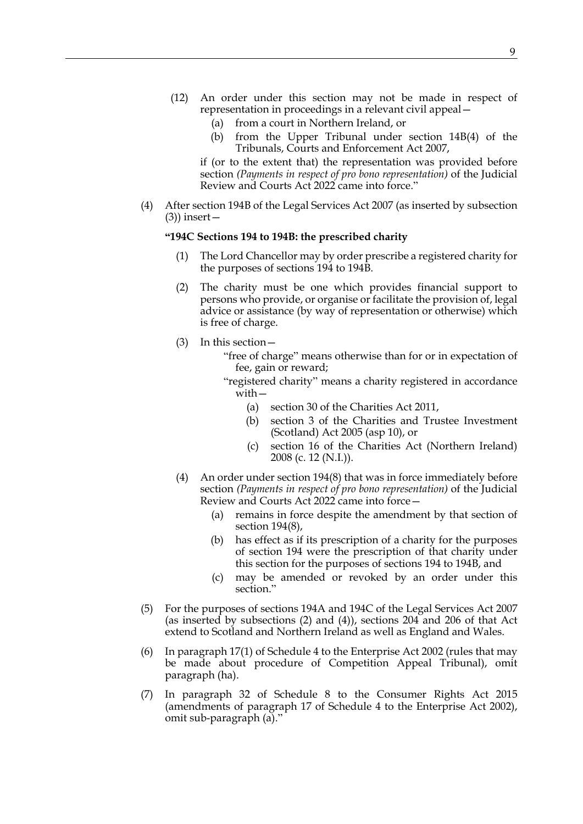- (12) An order under this section may not be made in respect of representation in proceedings in a relevant civil appeal—
	- (a) from a court in Northern Ireland, or
	- (b) from the Upper Tribunal under section 14B(4) of the Tribunals, Courts and Enforcement Act 2007,

if (or to the extent that) the representation was provided before section *(Payments in respect of pro bono representation)* of the Judicial Review and Courts Act 2022 came into force."

(4) After section 194B of the Legal Services Act 2007 (as inserted by subsection (3)) insert—

## **"194C Sections 194 to 194B: the prescribed charity**

- The Lord Chancellor may by order prescribe a registered charity for the purposes of sections 194 to 194B.
- (2) The charity must be one which provides financial support to persons who provide, or organise or facilitate the provision of, legal advice or assistance (by way of representation or otherwise) which is free of charge.
- (3) In this section—
	- "free of charge" means otherwise than for or in expectation of fee, gain or reward;
	- "registered charity" means a charity registered in accordance with—
		- (a) section 30 of the Charities Act 2011,
		- (b) section 3 of the Charities and Trustee Investment (Scotland) Act 2005 (asp 10), or
		- (c) section 16 of the Charities Act (Northern Ireland) 2008 (c. 12 (N.I.)).
- (4) An order under section 194(8) that was in force immediately before section *(Payments in respect of pro bono representation)* of the Judicial Review and Courts Act 2022 came into force—
	- (a) remains in force despite the amendment by that section of section 194(8),
	- (b) has effect as if its prescription of a charity for the purposes of section 194 were the prescription of that charity under this section for the purposes of sections 194 to 194B, and
	- (c) may be amended or revoked by an order under this section."
- (5) For the purposes of sections 194A and 194C of the Legal Services Act 2007 (as inserted by subsections (2) and (4)), sections 204 and 206 of that Act extend to Scotland and Northern Ireland as well as England and Wales.
- (6) In paragraph 17(1) of Schedule 4 to the Enterprise Act 2002 (rules that may be made about procedure of Competition Appeal Tribunal), omit paragraph (ha).
- (7) In paragraph 32 of Schedule 8 to the Consumer Rights Act 2015 (amendments of paragraph 17 of Schedule 4 to the Enterprise Act 2002), omit sub-paragraph (a)."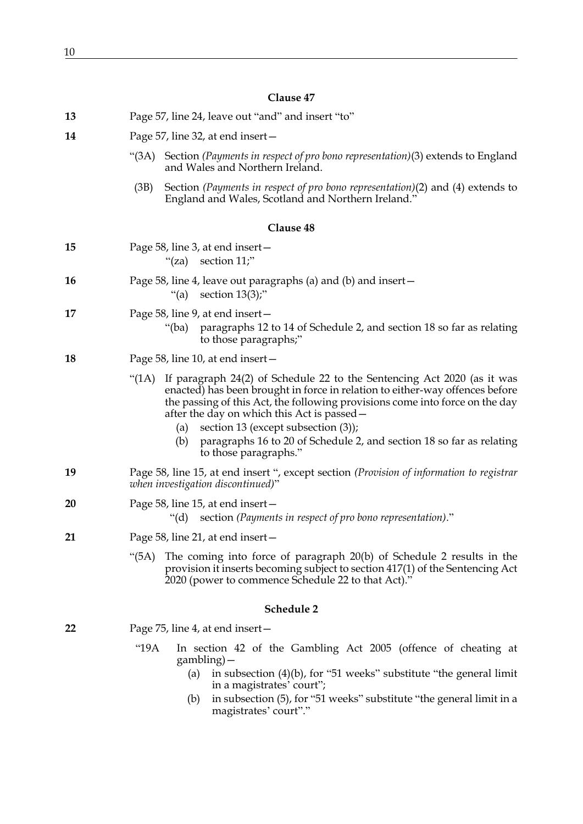# **Clause 47**

| 13 | Page 57, line 24, leave out "and" and insert "to"                                                                                                                                                                                                                                                                                                                                                                                                        |
|----|----------------------------------------------------------------------------------------------------------------------------------------------------------------------------------------------------------------------------------------------------------------------------------------------------------------------------------------------------------------------------------------------------------------------------------------------------------|
| 14 | Page 57, line 32, at end insert –                                                                                                                                                                                                                                                                                                                                                                                                                        |
|    | " $(3A)$<br>Section (Payments in respect of pro bono representation)(3) extends to England<br>and Wales and Northern Ireland.                                                                                                                                                                                                                                                                                                                            |
|    | Section (Payments in respect of pro bono representation)(2) and (4) extends to<br>(3B)<br>England and Wales, Scotland and Northern Ireland."                                                                                                                                                                                                                                                                                                             |
|    | Clause 48                                                                                                                                                                                                                                                                                                                                                                                                                                                |
| 15 | Page 58, line 3, at end insert –<br>"(za) section $11$ ;"                                                                                                                                                                                                                                                                                                                                                                                                |
| 16 | Page 58, line 4, leave out paragraphs (a) and (b) and insert $-$<br>"(a) section $13(3)$ ;"                                                                                                                                                                                                                                                                                                                                                              |
| 17 | Page 58, line 9, at end insert-<br>paragraphs 12 to 14 of Schedule 2, and section 18 so far as relating<br>"(ba)<br>to those paragraphs;"                                                                                                                                                                                                                                                                                                                |
| 18 | Page 58, line 10, at end insert -                                                                                                                                                                                                                                                                                                                                                                                                                        |
|    | If paragraph 24(2) of Schedule 22 to the Sentencing Act 2020 (as it was<br>" $(1A)$<br>enacted) has been brought in force in relation to either-way offences before<br>the passing of this Act, the following provisions come into force on the day<br>after the day on which this Act is passed –<br>section 13 (except subsection (3));<br>(a)<br>paragraphs 16 to 20 of Schedule 2, and section 18 so far as relating<br>(b)<br>to those paragraphs." |
| 19 | Page 58, line 15, at end insert ", except section (Provision of information to registrar<br>when investigation discontinued)"                                                                                                                                                                                                                                                                                                                            |
| 20 | Page 58, line 15, at end insert –<br>"(d) section (Payments in respect of pro bono representation)."                                                                                                                                                                                                                                                                                                                                                     |
| 21 | Page 58, line 21, at end insert –                                                                                                                                                                                                                                                                                                                                                                                                                        |
|    | (5A)<br>The coming into force of paragraph 20(b) of Schedule 2 results in the<br>provision it inserts becoming subject to section 417(1) of the Sentencing Act<br>2020 (power to commence Schedule 22 to that Act)."                                                                                                                                                                                                                                     |
|    | Schedule 2                                                                                                                                                                                                                                                                                                                                                                                                                                               |
| 22 | Page 75, line 4, at end insert –                                                                                                                                                                                                                                                                                                                                                                                                                         |
|    | "19A<br>In section 42 of the Gambling Act 2005 (offence of cheating at<br>gambling) –<br>in subsection $(4)(b)$ , for "51 weeks" substitute "the general limit<br>(a)<br>in a magistrates' court";                                                                                                                                                                                                                                                       |

(b) in subsection (5), for "51 weeks" substitute "the general limit in a magistrates' court"."